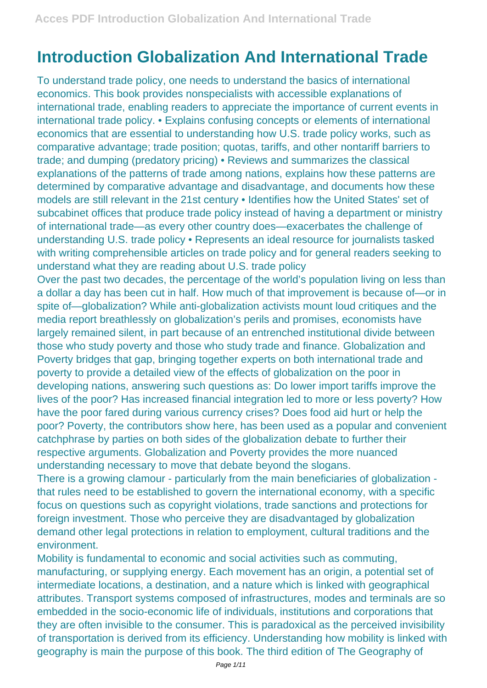## **Introduction Globalization And International Trade**

To understand trade policy, one needs to understand the basics of international economics. This book provides nonspecialists with accessible explanations of international trade, enabling readers to appreciate the importance of current events in international trade policy. • Explains confusing concepts or elements of international economics that are essential to understanding how U.S. trade policy works, such as comparative advantage; trade position; quotas, tariffs, and other nontariff barriers to trade; and dumping (predatory pricing) • Reviews and summarizes the classical explanations of the patterns of trade among nations, explains how these patterns are determined by comparative advantage and disadvantage, and documents how these models are still relevant in the 21st century • Identifies how the United States' set of subcabinet offices that produce trade policy instead of having a department or ministry of international trade—as every other country does—exacerbates the challenge of understanding U.S. trade policy • Represents an ideal resource for journalists tasked with writing comprehensible articles on trade policy and for general readers seeking to understand what they are reading about U.S. trade policy

Over the past two decades, the percentage of the world's population living on less than a dollar a day has been cut in half. How much of that improvement is because of—or in spite of—globalization? While anti-globalization activists mount loud critiques and the media report breathlessly on globalization's perils and promises, economists have largely remained silent, in part because of an entrenched institutional divide between those who study poverty and those who study trade and finance. Globalization and Poverty bridges that gap, bringing together experts on both international trade and poverty to provide a detailed view of the effects of globalization on the poor in developing nations, answering such questions as: Do lower import tariffs improve the lives of the poor? Has increased financial integration led to more or less poverty? How have the poor fared during various currency crises? Does food aid hurt or help the poor? Poverty, the contributors show here, has been used as a popular and convenient catchphrase by parties on both sides of the globalization debate to further their respective arguments. Globalization and Poverty provides the more nuanced understanding necessary to move that debate beyond the slogans.

There is a growing clamour - particularly from the main beneficiaries of globalization that rules need to be established to govern the international economy, with a specific focus on questions such as copyright violations, trade sanctions and protections for foreign investment. Those who perceive they are disadvantaged by globalization demand other legal protections in relation to employment, cultural traditions and the environment.

Mobility is fundamental to economic and social activities such as commuting, manufacturing, or supplying energy. Each movement has an origin, a potential set of intermediate locations, a destination, and a nature which is linked with geographical attributes. Transport systems composed of infrastructures, modes and terminals are so embedded in the socio-economic life of individuals, institutions and corporations that they are often invisible to the consumer. This is paradoxical as the perceived invisibility of transportation is derived from its efficiency. Understanding how mobility is linked with geography is main the purpose of this book. The third edition of The Geography of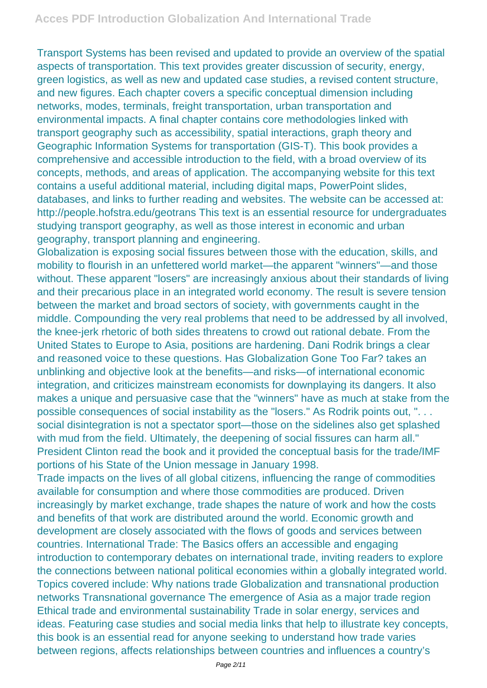Transport Systems has been revised and updated to provide an overview of the spatial aspects of transportation. This text provides greater discussion of security, energy, green logistics, as well as new and updated case studies, a revised content structure, and new figures. Each chapter covers a specific conceptual dimension including networks, modes, terminals, freight transportation, urban transportation and environmental impacts. A final chapter contains core methodologies linked with transport geography such as accessibility, spatial interactions, graph theory and Geographic Information Systems for transportation (GIS-T). This book provides a comprehensive and accessible introduction to the field, with a broad overview of its concepts, methods, and areas of application. The accompanying website for this text contains a useful additional material, including digital maps, PowerPoint slides, databases, and links to further reading and websites. The website can be accessed at: http://people.hofstra.edu/geotrans This text is an essential resource for undergraduates studying transport geography, as well as those interest in economic and urban geography, transport planning and engineering.

Globalization is exposing social fissures between those with the education, skills, and mobility to flourish in an unfettered world market—the apparent "winners"—and those without. These apparent "losers" are increasingly anxious about their standards of living and their precarious place in an integrated world economy. The result is severe tension between the market and broad sectors of society, with governments caught in the middle. Compounding the very real problems that need to be addressed by all involved, the knee-jerk rhetoric of both sides threatens to crowd out rational debate. From the United States to Europe to Asia, positions are hardening. Dani Rodrik brings a clear and reasoned voice to these questions. Has Globalization Gone Too Far? takes an unblinking and objective look at the benefits—and risks—of international economic integration, and criticizes mainstream economists for downplaying its dangers. It also makes a unique and persuasive case that the "winners" have as much at stake from the possible consequences of social instability as the "losers." As Rodrik points out, ". . . social disintegration is not a spectator sport—those on the sidelines also get splashed with mud from the field. Ultimately, the deepening of social fissures can harm all." President Clinton read the book and it provided the conceptual basis for the trade/IMF portions of his State of the Union message in January 1998.

Trade impacts on the lives of all global citizens, influencing the range of commodities available for consumption and where those commodities are produced. Driven increasingly by market exchange, trade shapes the nature of work and how the costs and benefits of that work are distributed around the world. Economic growth and development are closely associated with the flows of goods and services between countries. International Trade: The Basics offers an accessible and engaging introduction to contemporary debates on international trade, inviting readers to explore the connections between national political economies within a globally integrated world. Topics covered include: Why nations trade Globalization and transnational production networks Transnational governance The emergence of Asia as a major trade region Ethical trade and environmental sustainability Trade in solar energy, services and ideas. Featuring case studies and social media links that help to illustrate key concepts, this book is an essential read for anyone seeking to understand how trade varies between regions, affects relationships between countries and influences a country's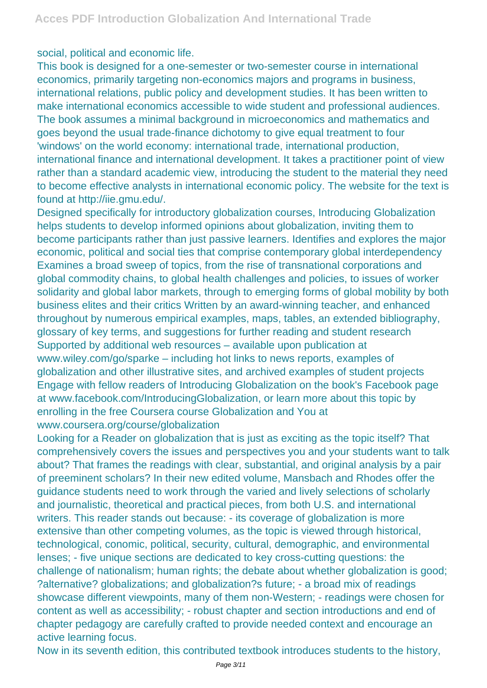social, political and economic life.

This book is designed for a one-semester or two-semester course in international economics, primarily targeting non-economics majors and programs in business, international relations, public policy and development studies. It has been written to make international economics accessible to wide student and professional audiences. The book assumes a minimal background in microeconomics and mathematics and goes beyond the usual trade-finance dichotomy to give equal treatment to four 'windows' on the world economy: international trade, international production, international finance and international development. It takes a practitioner point of view rather than a standard academic view, introducing the student to the material they need to become effective analysts in international economic policy. The website for the text is found at http://iie.gmu.edu/.

Designed specifically for introductory globalization courses, Introducing Globalization helps students to develop informed opinions about globalization, inviting them to become participants rather than just passive learners. Identifies and explores the major economic, political and social ties that comprise contemporary global interdependency Examines a broad sweep of topics, from the rise of transnational corporations and global commodity chains, to global health challenges and policies, to issues of worker solidarity and global labor markets, through to emerging forms of global mobility by both business elites and their critics Written by an award-winning teacher, and enhanced throughout by numerous empirical examples, maps, tables, an extended bibliography, glossary of key terms, and suggestions for further reading and student research Supported by additional web resources – available upon publication at www.wiley.com/go/sparke – including hot links to news reports, examples of globalization and other illustrative sites, and archived examples of student projects Engage with fellow readers of Introducing Globalization on the book's Facebook page at www.facebook.com/IntroducingGlobalization, or learn more about this topic by enrolling in the free Coursera course Globalization and You at www.coursera.org/course/globalization

Looking for a Reader on globalization that is just as exciting as the topic itself? That comprehensively covers the issues and perspectives you and your students want to talk about? That frames the readings with clear, substantial, and original analysis by a pair of preeminent scholars? In their new edited volume, Mansbach and Rhodes offer the guidance students need to work through the varied and lively selections of scholarly and journalistic, theoretical and practical pieces, from both U.S. and international writers. This reader stands out because: - its coverage of globalization is more extensive than other competing volumes, as the topic is viewed through historical, technological, conomic, political, security, cultural, demographic, and environmental lenses; - five unique sections are dedicated to key cross-cutting questions: the challenge of nationalism; human rights; the debate about whether globalization is good; ?alternative? globalizations; and globalization?s future; - a broad mix of readings showcase different viewpoints, many of them non-Western; - readings were chosen for content as well as accessibility; - robust chapter and section introductions and end of chapter pedagogy are carefully crafted to provide needed context and encourage an active learning focus.

Now in its seventh edition, this contributed textbook introduces students to the history,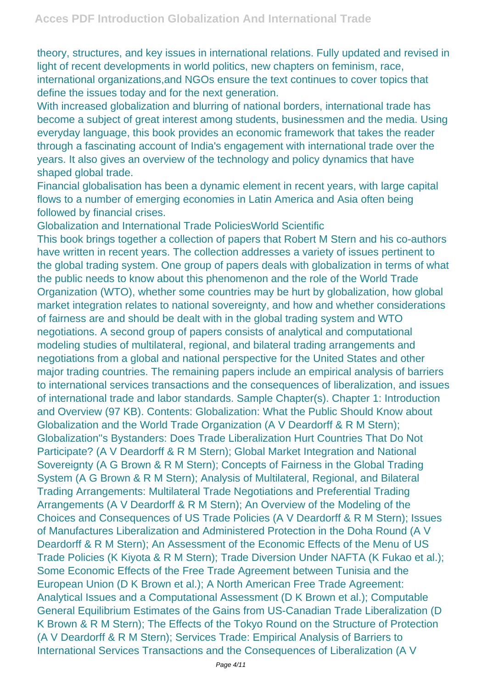theory, structures, and key issues in international relations. Fully updated and revised in light of recent developments in world politics, new chapters on feminism, race, international organizations,and NGOs ensure the text continues to cover topics that define the issues today and for the next generation.

With increased globalization and blurring of national borders, international trade has become a subject of great interest among students, businessmen and the media. Using everyday language, this book provides an economic framework that takes the reader through a fascinating account of India's engagement with international trade over the years. It also gives an overview of the technology and policy dynamics that have shaped global trade.

Financial globalisation has been a dynamic element in recent years, with large capital flows to a number of emerging economies in Latin America and Asia often being followed by financial crises.

Globalization and International Trade PoliciesWorld Scientific

This book brings together a collection of papers that Robert M Stern and his co-authors have written in recent years. The collection addresses a variety of issues pertinent to the global trading system. One group of papers deals with globalization in terms of what the public needs to know about this phenomenon and the role of the World Trade Organization (WTO), whether some countries may be hurt by globalization, how global market integration relates to national sovereignty, and how and whether considerations of fairness are and should be dealt with in the global trading system and WTO negotiations. A second group of papers consists of analytical and computational modeling studies of multilateral, regional, and bilateral trading arrangements and negotiations from a global and national perspective for the United States and other major trading countries. The remaining papers include an empirical analysis of barriers to international services transactions and the consequences of liberalization, and issues of international trade and labor standards. Sample Chapter(s). Chapter 1: Introduction and Overview (97 KB). Contents: Globalization: What the Public Should Know about Globalization and the World Trade Organization (A V Deardorff & R M Stern); Globalization''s Bystanders: Does Trade Liberalization Hurt Countries That Do Not Participate? (A V Deardorff & R M Stern); Global Market Integration and National Sovereignty (A G Brown & R M Stern); Concepts of Fairness in the Global Trading System (A G Brown & R M Stern); Analysis of Multilateral, Regional, and Bilateral Trading Arrangements: Multilateral Trade Negotiations and Preferential Trading Arrangements (A V Deardorff & R M Stern); An Overview of the Modeling of the Choices and Consequences of US Trade Policies (A V Deardorff & R M Stern); Issues of Manufactures Liberalization and Administered Protection in the Doha Round (A V Deardorff & R M Stern); An Assessment of the Economic Effects of the Menu of US Trade Policies (K Kiyota & R M Stern); Trade Diversion Under NAFTA (K Fukao et al.); Some Economic Effects of the Free Trade Agreement between Tunisia and the European Union (D K Brown et al.); A North American Free Trade Agreement: Analytical Issues and a Computational Assessment (D K Brown et al.); Computable General Equilibrium Estimates of the Gains from US-Canadian Trade Liberalization (D K Brown & R M Stern); The Effects of the Tokyo Round on the Structure of Protection (A V Deardorff & R M Stern); Services Trade: Empirical Analysis of Barriers to International Services Transactions and the Consequences of Liberalization (A V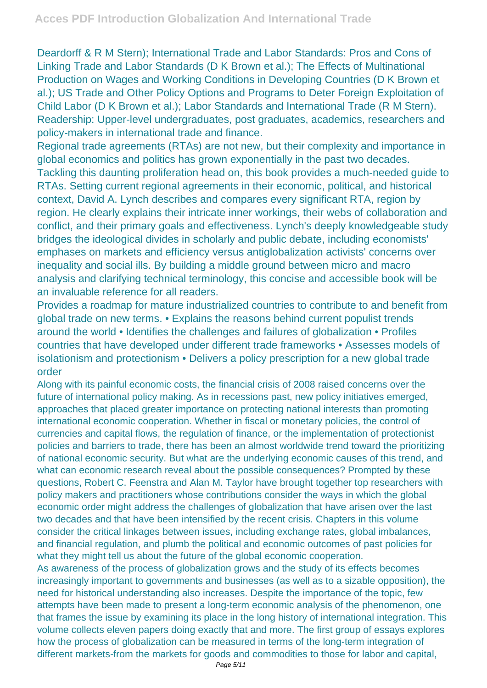Deardorff & R M Stern); International Trade and Labor Standards: Pros and Cons of Linking Trade and Labor Standards (D K Brown et al.); The Effects of Multinational Production on Wages and Working Conditions in Developing Countries (D K Brown et al.); US Trade and Other Policy Options and Programs to Deter Foreign Exploitation of Child Labor (D K Brown et al.); Labor Standards and International Trade (R M Stern). Readership: Upper-level undergraduates, post graduates, academics, researchers and policy-makers in international trade and finance.

Regional trade agreements (RTAs) are not new, but their complexity and importance in global economics and politics has grown exponentially in the past two decades. Tackling this daunting proliferation head on, this book provides a much-needed guide to RTAs. Setting current regional agreements in their economic, political, and historical context, David A. Lynch describes and compares every significant RTA, region by region. He clearly explains their intricate inner workings, their webs of collaboration and conflict, and their primary goals and effectiveness. Lynch's deeply knowledgeable study bridges the ideological divides in scholarly and public debate, including economists' emphases on markets and efficiency versus antiglobalization activists' concerns over inequality and social ills. By building a middle ground between micro and macro analysis and clarifying technical terminology, this concise and accessible book will be an invaluable reference for all readers.

Provides a roadmap for mature industrialized countries to contribute to and benefit from global trade on new terms. • Explains the reasons behind current populist trends around the world • Identifies the challenges and failures of globalization • Profiles countries that have developed under different trade frameworks • Assesses models of isolationism and protectionism • Delivers a policy prescription for a new global trade order

Along with its painful economic costs, the financial crisis of 2008 raised concerns over the future of international policy making. As in recessions past, new policy initiatives emerged, approaches that placed greater importance on protecting national interests than promoting international economic cooperation. Whether in fiscal or monetary policies, the control of currencies and capital flows, the regulation of finance, or the implementation of protectionist policies and barriers to trade, there has been an almost worldwide trend toward the prioritizing of national economic security. But what are the underlying economic causes of this trend, and what can economic research reveal about the possible consequences? Prompted by these questions, Robert C. Feenstra and Alan M. Taylor have brought together top researchers with policy makers and practitioners whose contributions consider the ways in which the global economic order might address the challenges of globalization that have arisen over the last two decades and that have been intensified by the recent crisis. Chapters in this volume consider the critical linkages between issues, including exchange rates, global imbalances, and financial regulation, and plumb the political and economic outcomes of past policies for what they might tell us about the future of the global economic cooperation.

As awareness of the process of globalization grows and the study of its effects becomes increasingly important to governments and businesses (as well as to a sizable opposition), the need for historical understanding also increases. Despite the importance of the topic, few attempts have been made to present a long-term economic analysis of the phenomenon, one that frames the issue by examining its place in the long history of international integration. This volume collects eleven papers doing exactly that and more. The first group of essays explores how the process of globalization can be measured in terms of the long-term integration of different markets-from the markets for goods and commodities to those for labor and capital,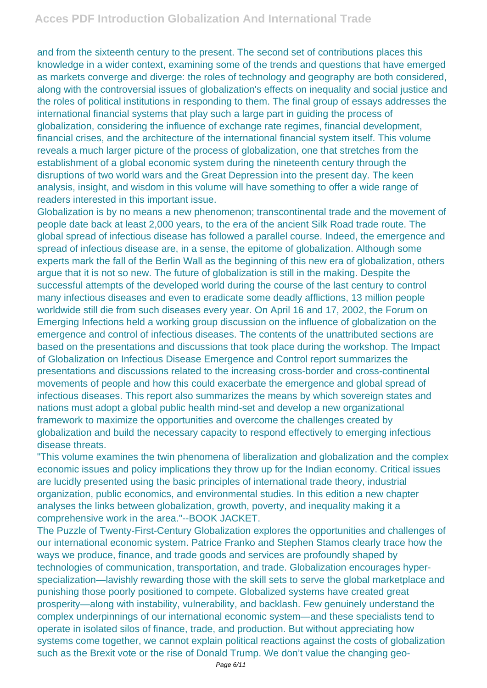and from the sixteenth century to the present. The second set of contributions places this knowledge in a wider context, examining some of the trends and questions that have emerged as markets converge and diverge: the roles of technology and geography are both considered, along with the controversial issues of globalization's effects on inequality and social justice and the roles of political institutions in responding to them. The final group of essays addresses the international financial systems that play such a large part in guiding the process of globalization, considering the influence of exchange rate regimes, financial development, financial crises, and the architecture of the international financial system itself. This volume reveals a much larger picture of the process of globalization, one that stretches from the establishment of a global economic system during the nineteenth century through the disruptions of two world wars and the Great Depression into the present day. The keen analysis, insight, and wisdom in this volume will have something to offer a wide range of readers interested in this important issue.

Globalization is by no means a new phenomenon; transcontinental trade and the movement of people date back at least 2,000 years, to the era of the ancient Silk Road trade route. The global spread of infectious disease has followed a parallel course. Indeed, the emergence and spread of infectious disease are, in a sense, the epitome of globalization. Although some experts mark the fall of the Berlin Wall as the beginning of this new era of globalization, others argue that it is not so new. The future of globalization is still in the making. Despite the successful attempts of the developed world during the course of the last century to control many infectious diseases and even to eradicate some deadly afflictions, 13 million people worldwide still die from such diseases every year. On April 16 and 17, 2002, the Forum on Emerging Infections held a working group discussion on the influence of globalization on the emergence and control of infectious diseases. The contents of the unattributed sections are based on the presentations and discussions that took place during the workshop. The Impact of Globalization on Infectious Disease Emergence and Control report summarizes the presentations and discussions related to the increasing cross-border and cross-continental movements of people and how this could exacerbate the emergence and global spread of infectious diseases. This report also summarizes the means by which sovereign states and nations must adopt a global public health mind-set and develop a new organizational framework to maximize the opportunities and overcome the challenges created by globalization and build the necessary capacity to respond effectively to emerging infectious disease threats.

"This volume examines the twin phenomena of liberalization and globalization and the complex economic issues and policy implications they throw up for the Indian economy. Critical issues are lucidly presented using the basic principles of international trade theory, industrial organization, public economics, and environmental studies. In this edition a new chapter analyses the links between globalization, growth, poverty, and inequality making it a comprehensive work in the area."--BOOK JACKET.

The Puzzle of Twenty-First-Century Globalization explores the opportunities and challenges of our international economic system. Patrice Franko and Stephen Stamos clearly trace how the ways we produce, finance, and trade goods and services are profoundly shaped by technologies of communication, transportation, and trade. Globalization encourages hyperspecialization—lavishly rewarding those with the skill sets to serve the global marketplace and punishing those poorly positioned to compete. Globalized systems have created great prosperity—along with instability, vulnerability, and backlash. Few genuinely understand the complex underpinnings of our international economic system—and these specialists tend to operate in isolated silos of finance, trade, and production. But without appreciating how systems come together, we cannot explain political reactions against the costs of globalization such as the Brexit vote or the rise of Donald Trump. We don't value the changing geo-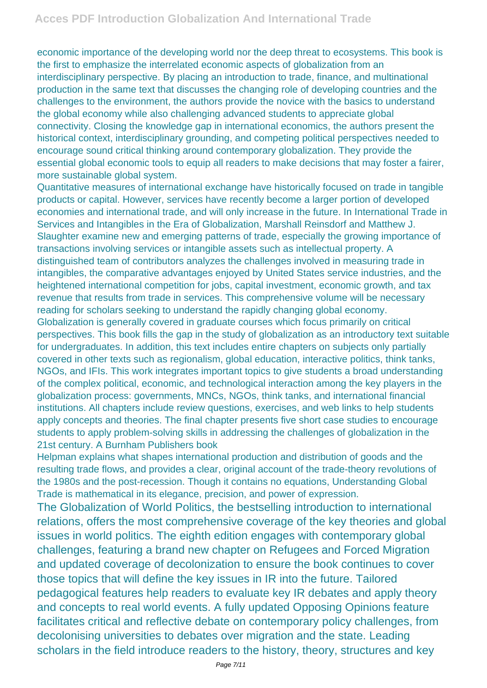economic importance of the developing world nor the deep threat to ecosystems. This book is the first to emphasize the interrelated economic aspects of globalization from an interdisciplinary perspective. By placing an introduction to trade, finance, and multinational production in the same text that discusses the changing role of developing countries and the challenges to the environment, the authors provide the novice with the basics to understand the global economy while also challenging advanced students to appreciate global connectivity. Closing the knowledge gap in international economics, the authors present the historical context, interdisciplinary grounding, and competing political perspectives needed to encourage sound critical thinking around contemporary globalization. They provide the essential global economic tools to equip all readers to make decisions that may foster a fairer, more sustainable global system.

Quantitative measures of international exchange have historically focused on trade in tangible products or capital. However, services have recently become a larger portion of developed economies and international trade, and will only increase in the future. In International Trade in Services and Intangibles in the Era of Globalization, Marshall Reinsdorf and Matthew J. Slaughter examine new and emerging patterns of trade, especially the growing importance of transactions involving services or intangible assets such as intellectual property. A distinguished team of contributors analyzes the challenges involved in measuring trade in intangibles, the comparative advantages enjoyed by United States service industries, and the heightened international competition for jobs, capital investment, economic growth, and tax revenue that results from trade in services. This comprehensive volume will be necessary reading for scholars seeking to understand the rapidly changing global economy. Globalization is generally covered in graduate courses which focus primarily on critical perspectives. This book fills the gap in the study of globalization as an introductory text suitable for undergraduates. In addition, this text includes entire chapters on subjects only partially covered in other texts such as regionalism, global education, interactive politics, think tanks, NGOs, and IFIs. This work integrates important topics to give students a broad understanding of the complex political, economic, and technological interaction among the key players in the globalization process: governments, MNCs, NGOs, think tanks, and international financial institutions. All chapters include review questions, exercises, and web links to help students apply concepts and theories. The final chapter presents five short case studies to encourage students to apply problem-solving skills in addressing the challenges of globalization in the 21st century. A Burnham Publishers book

Helpman explains what shapes international production and distribution of goods and the resulting trade flows, and provides a clear, original account of the trade-theory revolutions of the 1980s and the post-recession. Though it contains no equations, Understanding Global Trade is mathematical in its elegance, precision, and power of expression.

The Globalization of World Politics, the bestselling introduction to international relations, offers the most comprehensive coverage of the key theories and global issues in world politics. The eighth edition engages with contemporary global challenges, featuring a brand new chapter on Refugees and Forced Migration and updated coverage of decolonization to ensure the book continues to cover those topics that will define the key issues in IR into the future. Tailored pedagogical features help readers to evaluate key IR debates and apply theory and concepts to real world events. A fully updated Opposing Opinions feature facilitates critical and reflective debate on contemporary policy challenges, from decolonising universities to debates over migration and the state. Leading scholars in the field introduce readers to the history, theory, structures and key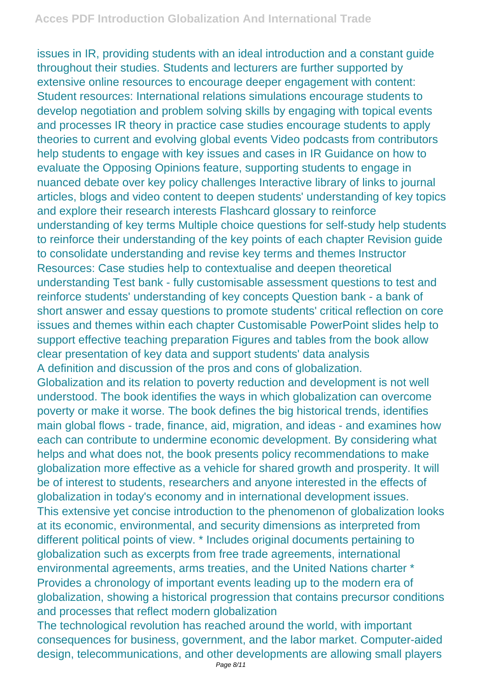issues in IR, providing students with an ideal introduction and a constant guide throughout their studies. Students and lecturers are further supported by extensive online resources to encourage deeper engagement with content: Student resources: International relations simulations encourage students to develop negotiation and problem solving skills by engaging with topical events and processes IR theory in practice case studies encourage students to apply theories to current and evolving global events Video podcasts from contributors help students to engage with key issues and cases in IR Guidance on how to evaluate the Opposing Opinions feature, supporting students to engage in nuanced debate over key policy challenges Interactive library of links to journal articles, blogs and video content to deepen students' understanding of key topics and explore their research interests Flashcard glossary to reinforce understanding of key terms Multiple choice questions for self-study help students to reinforce their understanding of the key points of each chapter Revision guide to consolidate understanding and revise key terms and themes Instructor Resources: Case studies help to contextualise and deepen theoretical understanding Test bank - fully customisable assessment questions to test and reinforce students' understanding of key concepts Question bank - a bank of short answer and essay questions to promote students' critical reflection on core issues and themes within each chapter Customisable PowerPoint slides help to support effective teaching preparation Figures and tables from the book allow clear presentation of key data and support students' data analysis A definition and discussion of the pros and cons of globalization. Globalization and its relation to poverty reduction and development is not well understood. The book identifies the ways in which globalization can overcome poverty or make it worse. The book defines the big historical trends, identifies main global flows - trade, finance, aid, migration, and ideas - and examines how each can contribute to undermine economic development. By considering what helps and what does not, the book presents policy recommendations to make globalization more effective as a vehicle for shared growth and prosperity. It will be of interest to students, researchers and anyone interested in the effects of globalization in today's economy and in international development issues. This extensive yet concise introduction to the phenomenon of globalization looks at its economic, environmental, and security dimensions as interpreted from different political points of view. \* Includes original documents pertaining to globalization such as excerpts from free trade agreements, international environmental agreements, arms treaties, and the United Nations charter \* Provides a chronology of important events leading up to the modern era of globalization, showing a historical progression that contains precursor conditions and processes that reflect modern globalization

The technological revolution has reached around the world, with important consequences for business, government, and the labor market. Computer-aided design, telecommunications, and other developments are allowing small players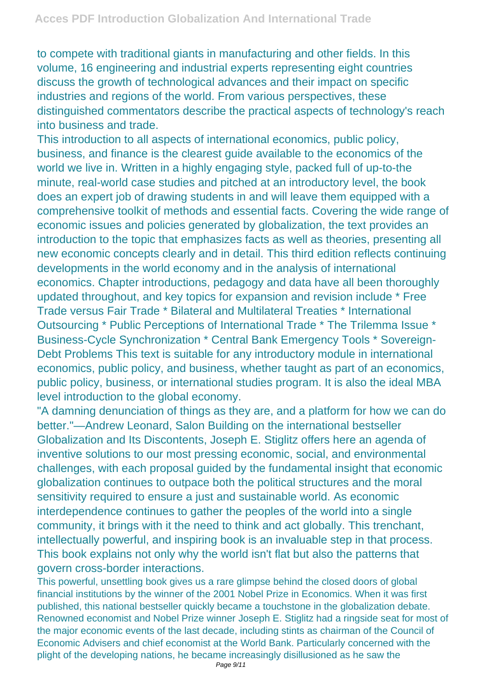to compete with traditional giants in manufacturing and other fields. In this volume, 16 engineering and industrial experts representing eight countries discuss the growth of technological advances and their impact on specific industries and regions of the world. From various perspectives, these distinguished commentators describe the practical aspects of technology's reach into business and trade.

This introduction to all aspects of international economics, public policy, business, and finance is the clearest guide available to the economics of the world we live in. Written in a highly engaging style, packed full of up-to-the minute, real-world case studies and pitched at an introductory level, the book does an expert job of drawing students in and will leave them equipped with a comprehensive toolkit of methods and essential facts. Covering the wide range of economic issues and policies generated by globalization, the text provides an introduction to the topic that emphasizes facts as well as theories, presenting all new economic concepts clearly and in detail. This third edition reflects continuing developments in the world economy and in the analysis of international economics. Chapter introductions, pedagogy and data have all been thoroughly updated throughout, and key topics for expansion and revision include \* Free Trade versus Fair Trade \* Bilateral and Multilateral Treaties \* International Outsourcing \* Public Perceptions of International Trade \* The Trilemma Issue \* Business-Cycle Synchronization \* Central Bank Emergency Tools \* Sovereign-Debt Problems This text is suitable for any introductory module in international economics, public policy, and business, whether taught as part of an economics, public policy, business, or international studies program. It is also the ideal MBA level introduction to the global economy.

"A damning denunciation of things as they are, and a platform for how we can do better."—Andrew Leonard, Salon Building on the international bestseller Globalization and Its Discontents, Joseph E. Stiglitz offers here an agenda of inventive solutions to our most pressing economic, social, and environmental challenges, with each proposal guided by the fundamental insight that economic globalization continues to outpace both the political structures and the moral sensitivity required to ensure a just and sustainable world. As economic interdependence continues to gather the peoples of the world into a single community, it brings with it the need to think and act globally. This trenchant, intellectually powerful, and inspiring book is an invaluable step in that process. This book explains not only why the world isn't flat but also the patterns that govern cross-border interactions.

This powerful, unsettling book gives us a rare glimpse behind the closed doors of global financial institutions by the winner of the 2001 Nobel Prize in Economics. When it was first published, this national bestseller quickly became a touchstone in the globalization debate. Renowned economist and Nobel Prize winner Joseph E. Stiglitz had a ringside seat for most of the major economic events of the last decade, including stints as chairman of the Council of Economic Advisers and chief economist at the World Bank. Particularly concerned with the plight of the developing nations, he became increasingly disillusioned as he saw the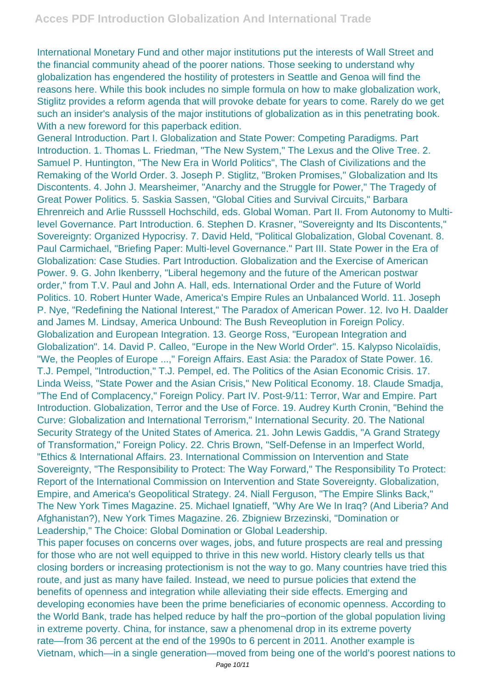International Monetary Fund and other major institutions put the interests of Wall Street and the financial community ahead of the poorer nations. Those seeking to understand why globalization has engendered the hostility of protesters in Seattle and Genoa will find the reasons here. While this book includes no simple formula on how to make globalization work, Stiglitz provides a reform agenda that will provoke debate for years to come. Rarely do we get such an insider's analysis of the major institutions of globalization as in this penetrating book. With a new foreword for this paperback edition.

General Introduction. Part I. Globalization and State Power: Competing Paradigms. Part Introduction. 1. Thomas L. Friedman, "The New System," The Lexus and the Olive Tree. 2. Samuel P. Huntington, "The New Era in World Politics", The Clash of Civilizations and the Remaking of the World Order. 3. Joseph P. Stiglitz, "Broken Promises," Globalization and Its Discontents. 4. John J. Mearsheimer, "Anarchy and the Struggle for Power," The Tragedy of Great Power Politics. 5. Saskia Sassen, "Global Cities and Survival Circuits," Barbara Ehrenreich and Arlie Russsell Hochschild, eds. Global Woman. Part II. From Autonomy to Multilevel Governance. Part Introduction. 6. Stephen D. Krasner, "Sovereignty and Its Discontents," Sovereignty: Organized Hypocrisy. 7. David Held, "Political Globalization, Global Covenant. 8. Paul Carmichael, "Briefing Paper: Multi-level Governance." Part III. State Power in the Era of Globalization: Case Studies. Part Introduction. Globalization and the Exercise of American Power. 9. G. John Ikenberry, "Liberal hegemony and the future of the American postwar order," from T.V. Paul and John A. Hall, eds. International Order and the Future of World Politics. 10. Robert Hunter Wade, America's Empire Rules an Unbalanced World. 11. Joseph P. Nye, "Redefining the National Interest," The Paradox of American Power. 12. Ivo H. Daalder and James M. Lindsay, America Unbound: The Bush Reveoplution in Foreign Policy. Globalization and European Integration. 13. George Ross, "European Integration and Globalization". 14. David P. Calleo, "Europe in the New World Order". 15. Kalypso Nicolaïdis, "We, the Peoples of Europe ...," Foreign Affairs. East Asia: the Paradox of State Power. 16. T.J. Pempel, "Introduction," T.J. Pempel, ed. The Politics of the Asian Economic Crisis. 17. Linda Weiss, "State Power and the Asian Crisis," New Political Economy. 18. Claude Smadja, "The End of Complacency," Foreign Policy. Part IV. Post-9/11: Terror, War and Empire. Part Introduction. Globalization, Terror and the Use of Force. 19. Audrey Kurth Cronin, "Behind the Curve: Globalization and International Terrorism," International Security. 20. The National Security Strategy of the United States of America. 21. John Lewis Gaddis, "A Grand Strategy of Transformation," Foreign Policy. 22. Chris Brown, "Self-Defense in an Imperfect World, "Ethics & International Affairs. 23. International Commission on Intervention and State Sovereignty, "The Responsibility to Protect: The Way Forward," The Responsibility To Protect: Report of the International Commission on Intervention and State Sovereignty. Globalization, Empire, and America's Geopolitical Strategy. 24. Niall Ferguson, "The Empire Slinks Back," The New York Times Magazine. 25. Michael Ignatieff, "Why Are We In Iraq? (And Liberia? And Afghanistan?), New York Times Magazine. 26. Zbigniew Brzezinski, "Domination or Leadership," The Choice: Global Domination or Global Leadership.

This paper focuses on concerns over wages, jobs, and future prospects are real and pressing for those who are not well equipped to thrive in this new world. History clearly tells us that closing borders or increasing protectionism is not the way to go. Many countries have tried this route, and just as many have failed. Instead, we need to pursue policies that extend the benefits of openness and integration while alleviating their side effects. Emerging and developing economies have been the prime beneficiaries of economic openness. According to the World Bank, trade has helped reduce by half the pro¬portion of the global population living in extreme poverty. China, for instance, saw a phenomenal drop in its extreme poverty rate—from 36 percent at the end of the 1990s to 6 percent in 2011. Another example is Vietnam, which—in a single generation—moved from being one of the world's poorest nations to